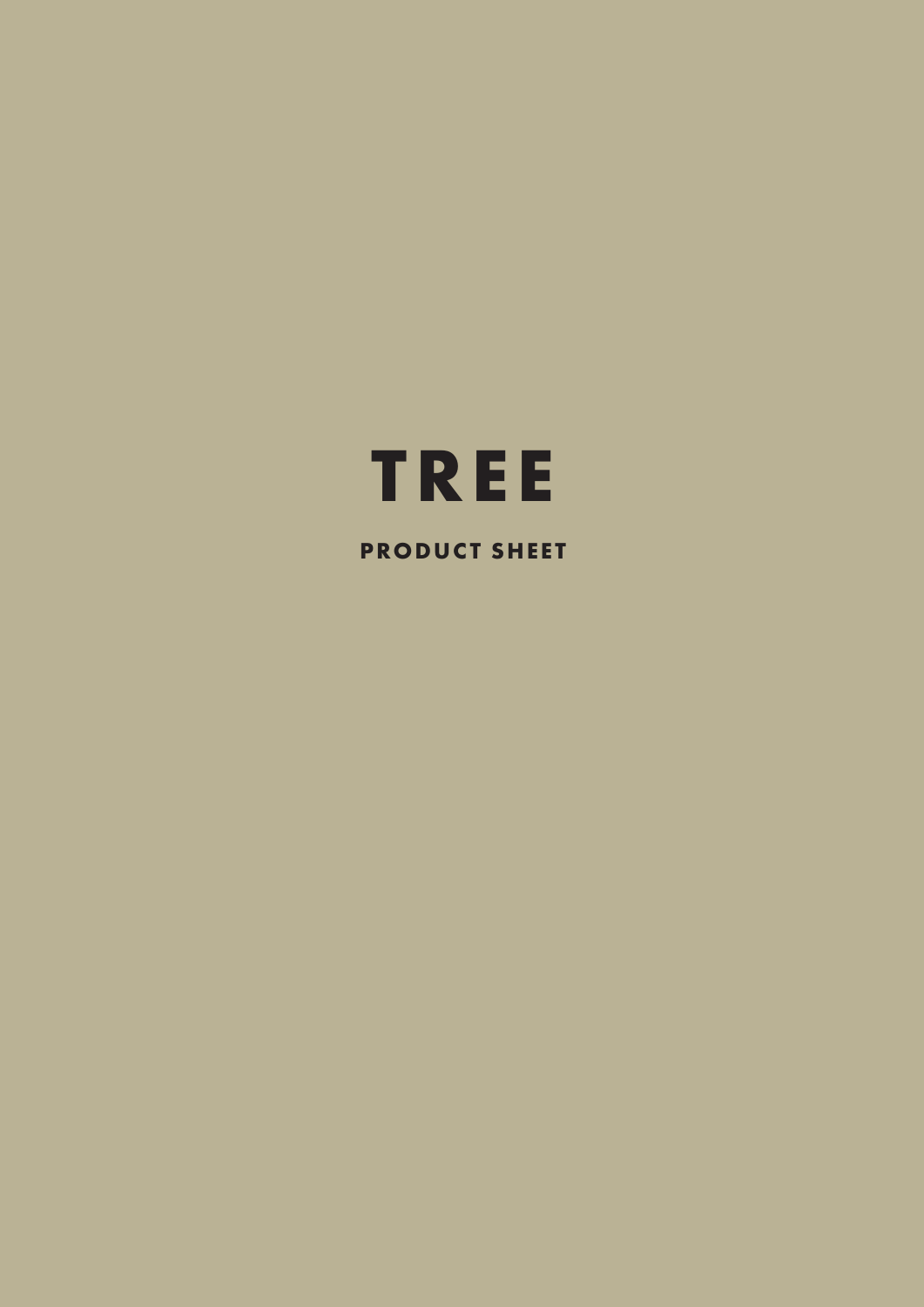

**PRODUCT SHEET**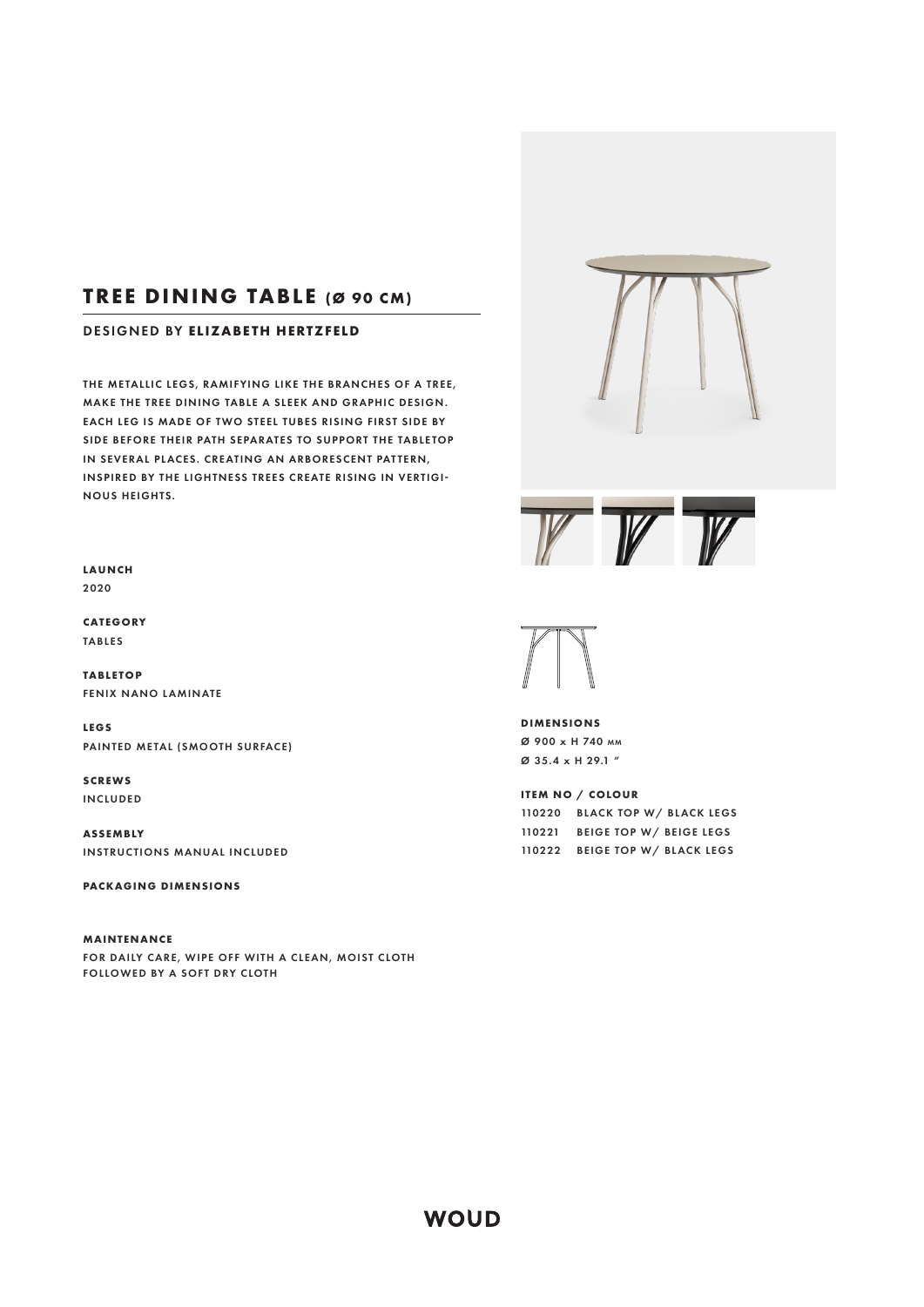# **TREE DINING TABLE (Ø 90 CM)**

## DESIGNED BY **ELIZABETH HERTZFELD**

THE METALLIC LEGS, RAMIFYING LIKE THE BRANCHES OF A TREE, MAKE THE TREE DINING TABLE A SLEEK AND GRAPHIC DESIGN. EACH LEG IS MADE OF TWO STEEL TUBES RISING FIRST SIDE BY SIDE BEFORE THEIR PATH SEPARATES TO SUPPORT THE TABLETOP IN SEVERAL PLACES. CREATING AN ARBORESCENT PATTERN. INSPIRED BY THE LIGHTNESS TREES CREATE RISING IN VERTIGI-NOUS HEIGHTS.

**LAUNCH** 2020

**CATEGORY**  TABLES

**TABLE TOP**  FENIX NANO LAMINATE

**LEGS**  PAINTED METAL (SMOOTH SURFACE)

**SCREWS** INCLUDED

**ASSEMBLY** INSTRUCTIONS MANUAL INCLUDED

**PACKAGING DIMENSIONS**

**MAINTENANCE**  FOR DAILY CARE, WIPE OFF WITH A CLEAN, MOIST CLOTH FOLLOWED BY A SOFT DRY CLOTH





**DIMENSIONS**  Ø 900 x H 740 MM Ø 35.4 x H 29.1 "

**ITEM NO / COLOUR**  BLACK TOP W/ BLACK LEGS BEIGE TOP W/ BEIGE LEGS BEIGE TOP W/ BLACK LEGS

**WOUD**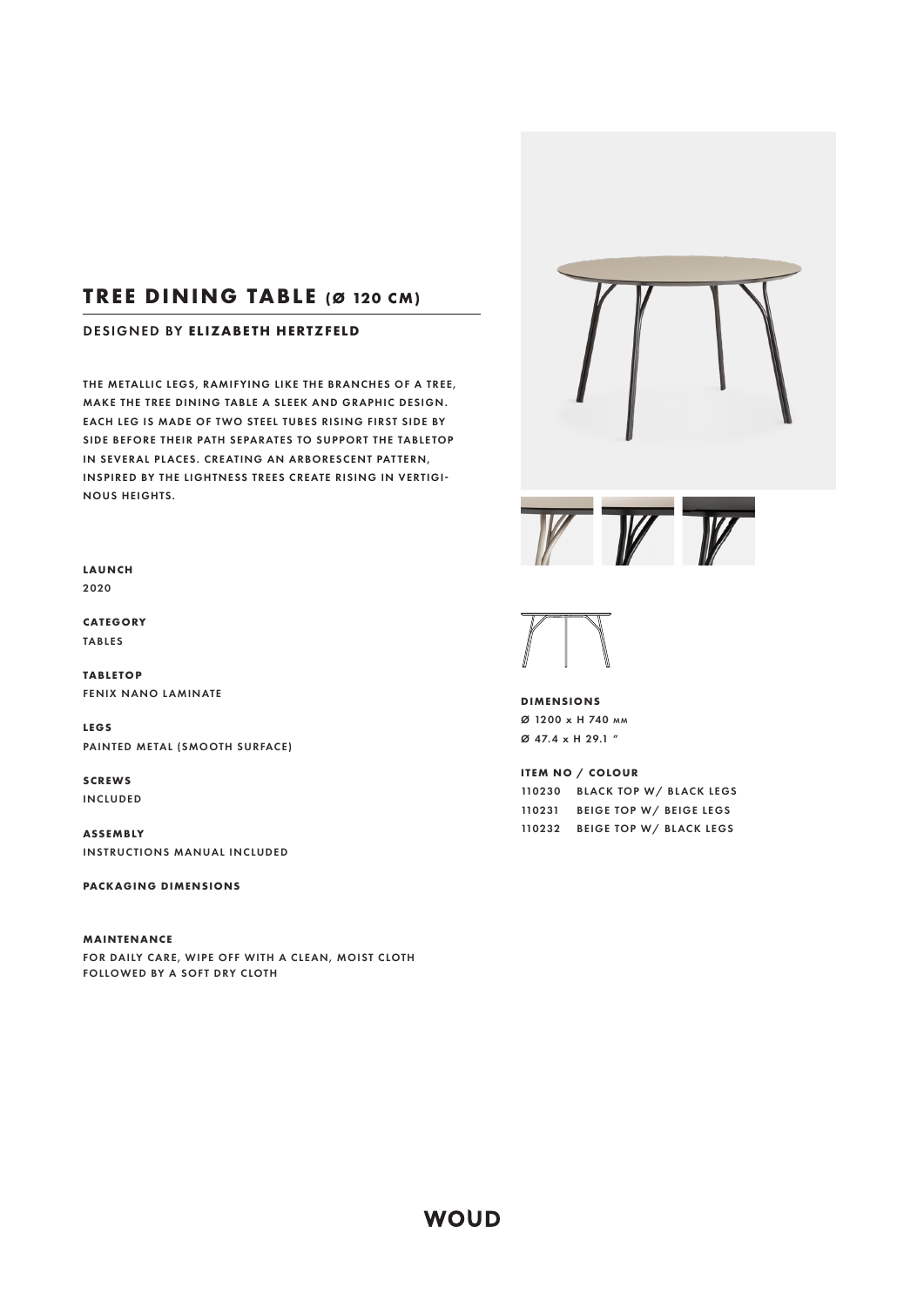## **TREE DINING TABLE (Ø 120 CM)**

#### DESIGNED BY **ELIZABETH HERTZFELD**

THE METALLIC LEGS, RAMIFYING LIKE THE BRANCHES OF A TREE, MAKE THE TREE DINING TABLE A SLEEK AND GRAPHIC DESIGN. EACH LEG IS MADE OF TWO STEEL TUBES RISING FIRST SIDE BY SIDE BEFORE THEIR PATH SEPARATES TO SUPPORT THE TABLETOP IN SEVERAL PLACES. CREATING AN ARBORESCENT PATTERN. INSPIRED BY THE LIGHTNESS TREES CREATE RISING IN VERTIGI-NOUS HEIGHTS.

**LAUNCH** 2020

**CATEGORY**  TABLES

**TABLE TOP**  FENIX NANO LAMINATE

**LEGS**  PAINTED METAL (SMOOTH SURFACE)

**SCREWS** INCLUDED

**ASSEMBLY** INSTRUCTIONS MANUAL INCLUDED

**PACKAGING DIMENSIONS**

**MAINTENANCE**  FOR DAILY CARE, WIPE OFF WITH A CLEAN, MOIST CLOTH FOLLOWED BY A SOFT DRY CLOTH





**DIMENSIONS**  Ø 1200 x H 740 MM Ø 47.4 x H 29.1 "

**ITEM NO / COLOUR**  BLACK TOP W/ BLACK LEGS BEIGE TOP W/ BEIGE LEGS BEIGE TOP W/ BLACK LEGS

**WOUD**